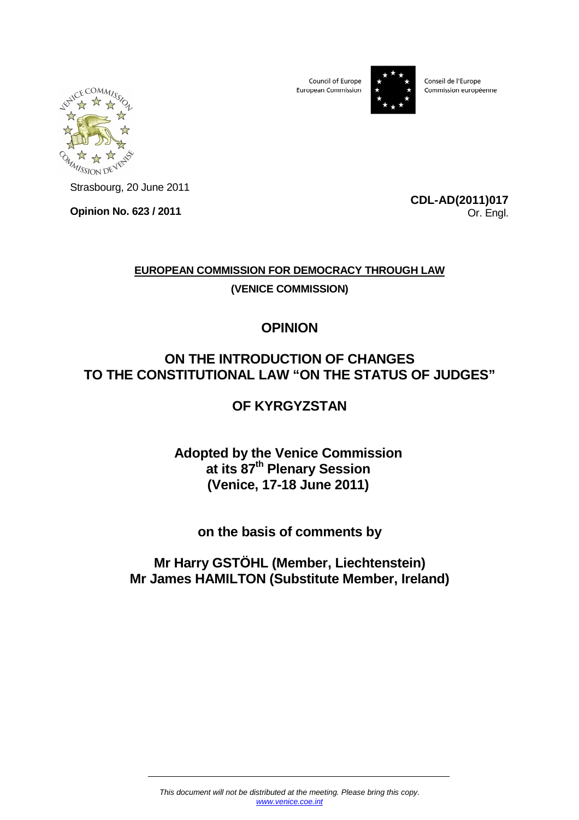Council of Europe European Commission



Conseil de l'Europe Commission européenne



Strasbourg, 20 June 2011

**Opinion No. 623 / 2011** 

**CDL-AD(2011)017** Or. Engl.

# **EUROPEAN COMMISSION FOR DEMOCRACY THROUGH LAW**

**(VENICE COMMISSION)**

# **OPINION**

# **ON THE INTRODUCTION OF CHANGES TO THE CONSTITUTIONAL LAW "ON THE STATUS OF JUDGES"**

# **OF KYRGYZSTAN**

# **Adopted by the Venice Commission at its 87th Plenary Session (Venice, 17-18 June 2011)**

# **on the basis of comments by**

# **Mr Harry GSTÖHL (Member, Liechtenstein) Mr James HAMILTON (Substitute Member, Ireland)**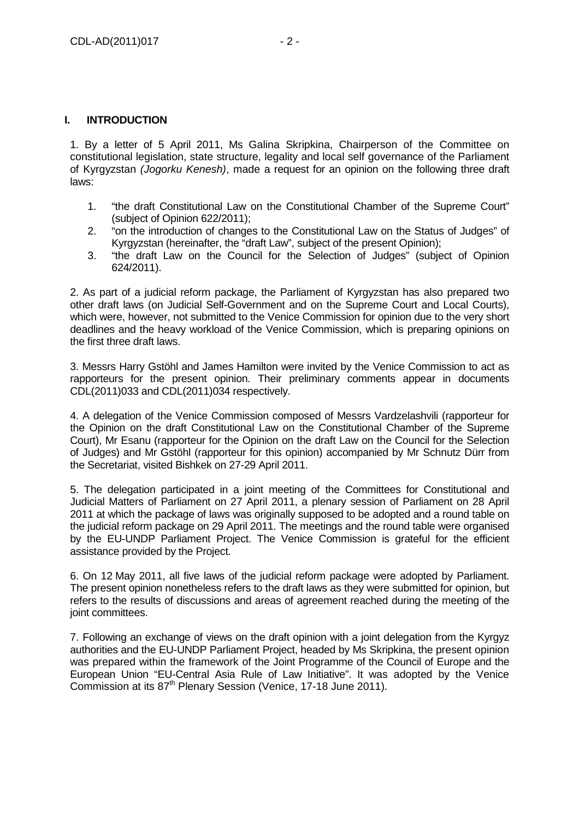## **I. INTRODUCTION**

1. By a letter of 5 April 2011, Ms Galina Skripkina, Chairperson of the Committee on constitutional legislation, state structure, legality and local self governance of the Parliament of Kyrgyzstan (Jogorku Kenesh), made a request for an opinion on the following three draft laws:

- 1. "the draft Constitutional Law on the Constitutional Chamber of the Supreme Court" (subject of Opinion 622/2011);
- 2. "on the introduction of changes to the Constitutional Law on the Status of Judges" of Kyrgyzstan (hereinafter, the "draft Law", subject of the present Opinion);
- 3. "the draft Law on the Council for the Selection of Judges" (subject of Opinion 624/2011).

2. As part of a judicial reform package, the Parliament of Kyrgyzstan has also prepared two other draft laws (on Judicial Self-Government and on the Supreme Court and Local Courts), which were, however, not submitted to the Venice Commission for opinion due to the very short deadlines and the heavy workload of the Venice Commission, which is preparing opinions on the first three draft laws.

3. Messrs Harry Gstöhl and James Hamilton were invited by the Venice Commission to act as rapporteurs for the present opinion. Their preliminary comments appear in documents CDL(2011)033 and CDL(2011)034 respectively.

4. A delegation of the Venice Commission composed of Messrs Vardzelashvili (rapporteur for the Opinion on the draft Constitutional Law on the Constitutional Chamber of the Supreme Court), Mr Esanu (rapporteur for the Opinion on the draft Law on the Council for the Selection of Judges) and Mr Gstöhl (rapporteur for this opinion) accompanied by Mr Schnutz Dürr from the Secretariat, visited Bishkek on 27-29 April 2011.

5. The delegation participated in a joint meeting of the Committees for Constitutional and Judicial Matters of Parliament on 27 April 2011, a plenary session of Parliament on 28 April 2011 at which the package of laws was originally supposed to be adopted and a round table on the judicial reform package on 29 April 2011. The meetings and the round table were organised by the EU-UNDP Parliament Project. The Venice Commission is grateful for the efficient assistance provided by the Project.

6. On 12 May 2011, all five laws of the judicial reform package were adopted by Parliament. The present opinion nonetheless refers to the draft laws as they were submitted for opinion, but refers to the results of discussions and areas of agreement reached during the meeting of the joint committees.

7. Following an exchange of views on the draft opinion with a joint delegation from the Kyrgyz authorities and the EU-UNDP Parliament Project, headed by Ms Skripkina, the present opinion was prepared within the framework of the Joint Programme of the Council of Europe and the European Union "EU-Central Asia Rule of Law Initiative". It was adopted by the Venice Commission at its 87<sup>th</sup> Plenary Session (Venice, 17-18 June 2011).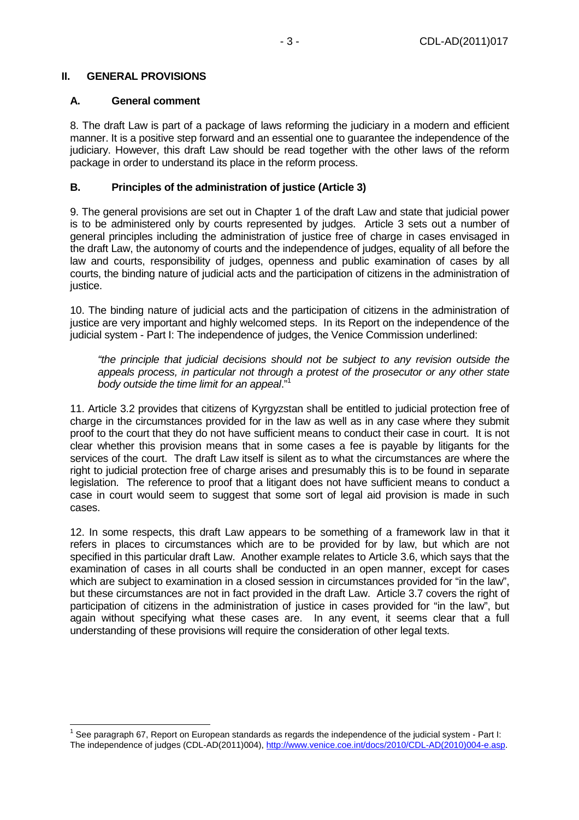## **II. GENERAL PROVISIONS**

#### **A. General comment**

8. The draft Law is part of a package of laws reforming the judiciary in a modern and efficient manner. It is a positive step forward and an essential one to guarantee the independence of the judiciary. However, this draft Law should be read together with the other laws of the reform package in order to understand its place in the reform process.

## **B. Principles of the administration of justice (Article 3)**

9. The general provisions are set out in Chapter 1 of the draft Law and state that judicial power is to be administered only by courts represented by judges. Article 3 sets out a number of general principles including the administration of justice free of charge in cases envisaged in the draft Law, the autonomy of courts and the independence of judges, equality of all before the law and courts, responsibility of judges, openness and public examination of cases by all courts, the binding nature of judicial acts and the participation of citizens in the administration of justice.

10. The binding nature of judicial acts and the participation of citizens in the administration of justice are very important and highly welcomed steps. In its Report on the independence of the judicial system - Part I: The independence of judges, the Venice Commission underlined:

"the principle that judicial decisions should not be subject to any revision outside the appeals process, in particular not through a protest of the prosecutor or any other state body outside the time limit for an appeal."<sup>1</sup>

11. Article 3.2 provides that citizens of Kyrgyzstan shall be entitled to judicial protection free of charge in the circumstances provided for in the law as well as in any case where they submit proof to the court that they do not have sufficient means to conduct their case in court. It is not clear whether this provision means that in some cases a fee is payable by litigants for the services of the court. The draft Law itself is silent as to what the circumstances are where the right to judicial protection free of charge arises and presumably this is to be found in separate legislation. The reference to proof that a litigant does not have sufficient means to conduct a case in court would seem to suggest that some sort of legal aid provision is made in such cases.

12. In some respects, this draft Law appears to be something of a framework law in that it refers in places to circumstances which are to be provided for by law, but which are not specified in this particular draft Law. Another example relates to Article 3.6, which says that the examination of cases in all courts shall be conducted in an open manner, except for cases which are subject to examination in a closed session in circumstances provided for "in the law". but these circumstances are not in fact provided in the draft Law. Article 3.7 covers the right of participation of citizens in the administration of justice in cases provided for "in the law", but again without specifying what these cases are. In any event, it seems clear that a full understanding of these provisions will require the consideration of other legal texts.

 <sup>1</sup> See paragraph 67, Report on European standards as regards the independence of the judicial system - Part I: The independence of judges (CDL-AD(2011)004), http://www.venice.coe.int/docs/2010/CDL-AD(2010)004-e.asp.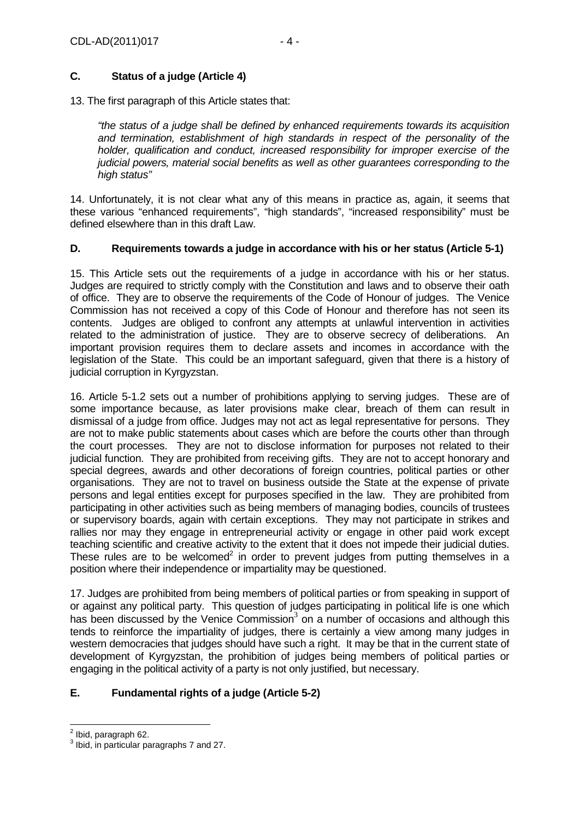# **C. Status of a judge (Article 4)**

13. The first paragraph of this Article states that:

"the status of a judge shall be defined by enhanced requirements towards its acquisition and termination, establishment of high standards in respect of the personality of the holder, qualification and conduct, increased responsibility for improper exercise of the judicial powers, material social benefits as well as other guarantees corresponding to the high status"

14. Unfortunately, it is not clear what any of this means in practice as, again, it seems that these various "enhanced requirements", "high standards", "increased responsibility" must be defined elsewhere than in this draft Law.

# **D. Requirements towards a judge in accordance with his or her status (Article 5-1)**

15. This Article sets out the requirements of a judge in accordance with his or her status. Judges are required to strictly comply with the Constitution and laws and to observe their oath of office. They are to observe the requirements of the Code of Honour of judges. The Venice Commission has not received a copy of this Code of Honour and therefore has not seen its contents. Judges are obliged to confront any attempts at unlawful intervention in activities related to the administration of justice. They are to observe secrecy of deliberations. An important provision requires them to declare assets and incomes in accordance with the legislation of the State. This could be an important safeguard, given that there is a history of judicial corruption in Kyrgyzstan.

16. Article 5-1.2 sets out a number of prohibitions applying to serving judges. These are of some importance because, as later provisions make clear, breach of them can result in dismissal of a judge from office. Judges may not act as legal representative for persons. They are not to make public statements about cases which are before the courts other than through the court processes. They are not to disclose information for purposes not related to their judicial function. They are prohibited from receiving gifts. They are not to accept honorary and special degrees, awards and other decorations of foreign countries, political parties or other organisations. They are not to travel on business outside the State at the expense of private persons and legal entities except for purposes specified in the law. They are prohibited from participating in other activities such as being members of managing bodies, councils of trustees or supervisory boards, again with certain exceptions. They may not participate in strikes and rallies nor may they engage in entrepreneurial activity or engage in other paid work except teaching scientific and creative activity to the extent that it does not impede their judicial duties. These rules are to be welcomed<sup>2</sup> in order to prevent judges from putting themselves in a position where their independence or impartiality may be questioned.

17. Judges are prohibited from being members of political parties or from speaking in support of or against any political party. This question of judges participating in political life is one which has been discussed by the Venice Commission $3$  on a number of occasions and although this tends to reinforce the impartiality of judges, there is certainly a view among many judges in western democracies that judges should have such a right. It may be that in the current state of development of Kyrgyzstan, the prohibition of judges being members of political parties or engaging in the political activity of a party is not only justified, but necessary.

# **E. Fundamental rights of a judge (Article 5-2)**

 $\frac{2}{3}$  Ibid, paragraph 62.

 $3$  Ibid, in particular paragraphs 7 and 27.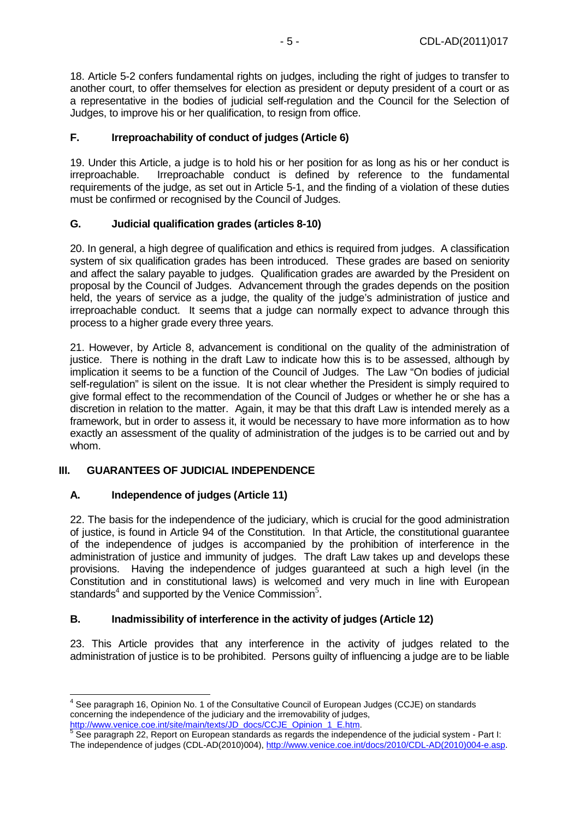18. Article 5-2 confers fundamental rights on judges, including the right of judges to transfer to another court, to offer themselves for election as president or deputy president of a court or as a representative in the bodies of judicial self-regulation and the Council for the Selection of Judges, to improve his or her qualification, to resign from office.

## **F. Irreproachability of conduct of judges (Article 6)**

19. Under this Article, a judge is to hold his or her position for as long as his or her conduct is irreproachable. Irreproachable conduct is defined by reference to the fundamental requirements of the judge, as set out in Article 5-1, and the finding of a violation of these duties must be confirmed or recognised by the Council of Judges.

## **G. Judicial qualification grades (articles 8-10)**

20. In general, a high degree of qualification and ethics is required from judges. A classification system of six qualification grades has been introduced. These grades are based on seniority and affect the salary payable to judges. Qualification grades are awarded by the President on proposal by the Council of Judges. Advancement through the grades depends on the position held, the years of service as a judge, the quality of the judge's administration of justice and irreproachable conduct. It seems that a judge can normally expect to advance through this process to a higher grade every three years.

21. However, by Article 8, advancement is conditional on the quality of the administration of justice. There is nothing in the draft Law to indicate how this is to be assessed, although by implication it seems to be a function of the Council of Judges. The Law "On bodies of judicial self-regulation" is silent on the issue. It is not clear whether the President is simply required to give formal effect to the recommendation of the Council of Judges or whether he or she has a discretion in relation to the matter. Again, it may be that this draft Law is intended merely as a framework, but in order to assess it, it would be necessary to have more information as to how exactly an assessment of the quality of administration of the judges is to be carried out and by whom.

# **III. GUARANTEES OF JUDICIAL INDEPENDENCE**

## **A. Independence of judges (Article 11)**

22. The basis for the independence of the judiciary, which is crucial for the good administration of justice, is found in Article 94 of the Constitution. In that Article, the constitutional guarantee of the independence of judges is accompanied by the prohibition of interference in the administration of justice and immunity of judges. The draft Law takes up and develops these provisions. Having the independence of judges guaranteed at such a high level (in the Constitution and in constitutional laws) is welcomed and very much in line with European standards<sup>4</sup> and supported by the Venice Commission<sup>5</sup>.

## **B. Inadmissibility of interference in the activity of judges (Article 12)**

23. This Article provides that any interference in the activity of judges related to the administration of justice is to be prohibited. Persons guilty of influencing a judge are to be liable

 4 See paragraph 16, Opinion No. 1 of the Consultative Council of European Judges (CCJE) on standards concerning the independence of the judiciary and the irremovability of judges,

<sup>&</sup>lt;u>http://www.venice.coe.int/site/main/texts/JD\_docs/CCJE\_Opinion\_1\_E.htm</u>.<br><sup>5</sup> See paragraph 22, Report on European standards as regards the independence of the judicial system - Part I: The independence of judges (CDL-AD(2010)004), http://www.venice.coe.int/docs/2010/CDL-AD(2010)004-e.asp.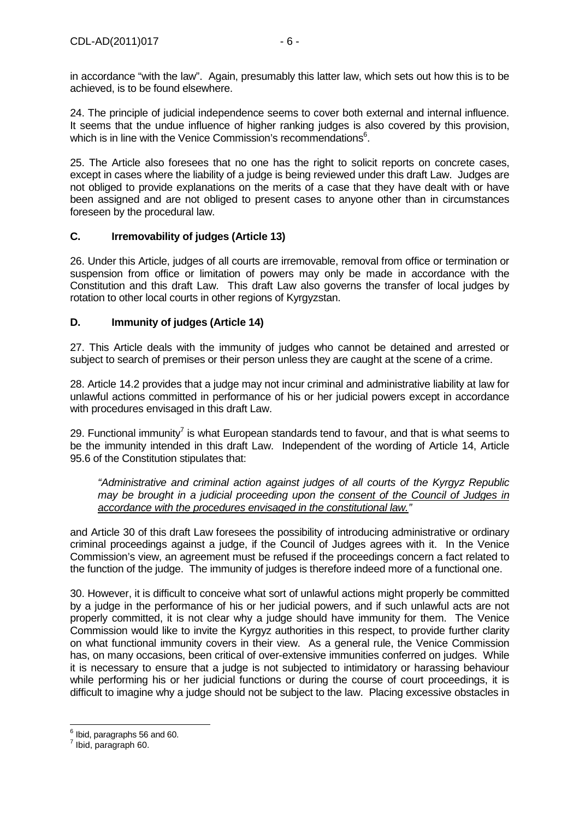in accordance "with the law". Again, presumably this latter law, which sets out how this is to be achieved, is to be found elsewhere.

24. The principle of judicial independence seems to cover both external and internal influence. It seems that the undue influence of higher ranking judges is also covered by this provision, which is in line with the Venice Commission's recommendations<sup>6</sup>.

25. The Article also foresees that no one has the right to solicit reports on concrete cases, except in cases where the liability of a judge is being reviewed under this draft Law. Judges are not obliged to provide explanations on the merits of a case that they have dealt with or have been assigned and are not obliged to present cases to anyone other than in circumstances foreseen by the procedural law.

# **C. Irremovability of judges (Article 13)**

26. Under this Article, judges of all courts are irremovable, removal from office or termination or suspension from office or limitation of powers may only be made in accordance with the Constitution and this draft Law. This draft Law also governs the transfer of local judges by rotation to other local courts in other regions of Kyrgyzstan.

# **D. Immunity of judges (Article 14)**

27. This Article deals with the immunity of judges who cannot be detained and arrested or subject to search of premises or their person unless they are caught at the scene of a crime.

28. Article 14.2 provides that a judge may not incur criminal and administrative liability at law for unlawful actions committed in performance of his or her judicial powers except in accordance with procedures envisaged in this draft Law.

29. Functional immunity<sup>7</sup> is what European standards tend to favour, and that is what seems to be the immunity intended in this draft Law. Independent of the wording of Article 14, Article 95.6 of the Constitution stipulates that:

"Administrative and criminal action against judges of all courts of the Kyrgyz Republic may be brought in a judicial proceeding upon the consent of the Council of Judges in accordance with the procedures envisaged in the constitutional law."

and Article 30 of this draft Law foresees the possibility of introducing administrative or ordinary criminal proceedings against a judge, if the Council of Judges agrees with it. In the Venice Commission's view, an agreement must be refused if the proceedings concern a fact related to the function of the judge. The immunity of judges is therefore indeed more of a functional one.

30. However, it is difficult to conceive what sort of unlawful actions might properly be committed by a judge in the performance of his or her judicial powers, and if such unlawful acts are not properly committed, it is not clear why a judge should have immunity for them. The Venice Commission would like to invite the Kyrgyz authorities in this respect, to provide further clarity on what functional immunity covers in their view. As a general rule, the Venice Commission has, on many occasions, been critical of over-extensive immunities conferred on judges. While it is necessary to ensure that a judge is not subjected to intimidatory or harassing behaviour while performing his or her judicial functions or during the course of court proceedings, it is difficult to imagine why a judge should not be subject to the law. Placing excessive obstacles in

 6 Ibid, paragraphs 56 and 60.

 $<sup>7</sup>$  Ibid, paragraph 60.</sup>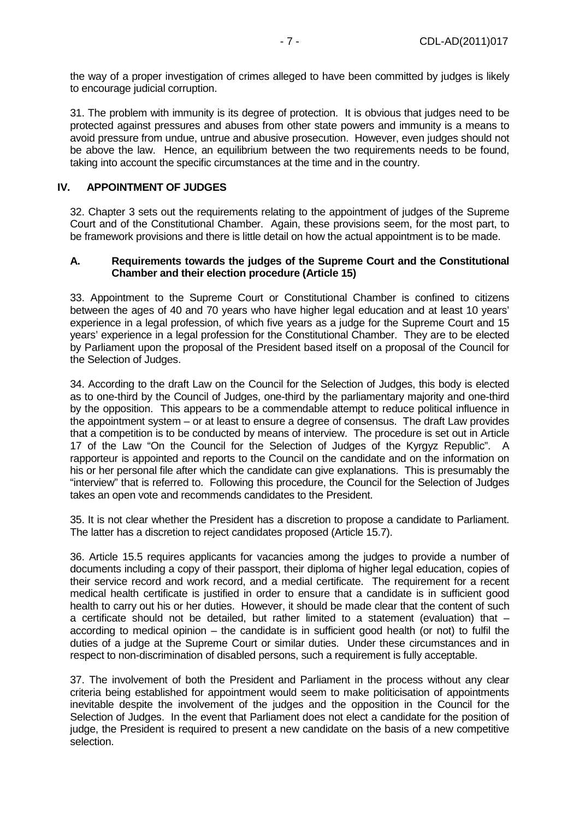the way of a proper investigation of crimes alleged to have been committed by judges is likely to encourage judicial corruption.

31. The problem with immunity is its degree of protection. It is obvious that judges need to be protected against pressures and abuses from other state powers and immunity is a means to avoid pressure from undue, untrue and abusive prosecution. However, even judges should not be above the law. Hence, an equilibrium between the two requirements needs to be found, taking into account the specific circumstances at the time and in the country.

## **IV. APPOINTMENT OF JUDGES**

32. Chapter 3 sets out the requirements relating to the appointment of judges of the Supreme Court and of the Constitutional Chamber. Again, these provisions seem, for the most part, to be framework provisions and there is little detail on how the actual appointment is to be made.

#### **A. Requirements towards the judges of the Supreme Court and the Constitutional Chamber and their election procedure (Article 15)**

33. Appointment to the Supreme Court or Constitutional Chamber is confined to citizens between the ages of 40 and 70 years who have higher legal education and at least 10 years' experience in a legal profession, of which five years as a judge for the Supreme Court and 15 years' experience in a legal profession for the Constitutional Chamber. They are to be elected by Parliament upon the proposal of the President based itself on a proposal of the Council for the Selection of Judges.

34. According to the draft Law on the Council for the Selection of Judges, this body is elected as to one-third by the Council of Judges, one-third by the parliamentary majority and one-third by the opposition. This appears to be a commendable attempt to reduce political influence in the appointment system – or at least to ensure a degree of consensus. The draft Law provides that a competition is to be conducted by means of interview. The procedure is set out in Article 17 of the Law "On the Council for the Selection of Judges of the Kyrgyz Republic". A rapporteur is appointed and reports to the Council on the candidate and on the information on his or her personal file after which the candidate can give explanations. This is presumably the "interview" that is referred to. Following this procedure, the Council for the Selection of Judges takes an open vote and recommends candidates to the President.

35. It is not clear whether the President has a discretion to propose a candidate to Parliament. The latter has a discretion to reject candidates proposed (Article 15.7).

36. Article 15.5 requires applicants for vacancies among the judges to provide a number of documents including a copy of their passport, their diploma of higher legal education, copies of their service record and work record, and a medial certificate. The requirement for a recent medical health certificate is justified in order to ensure that a candidate is in sufficient good health to carry out his or her duties. However, it should be made clear that the content of such a certificate should not be detailed, but rather limited to a statement (evaluation) that  $$ according to medical opinion – the candidate is in sufficient good health (or not) to fulfil the duties of a judge at the Supreme Court or similar duties. Under these circumstances and in respect to non-discrimination of disabled persons, such a requirement is fully acceptable.

37. The involvement of both the President and Parliament in the process without any clear criteria being established for appointment would seem to make politicisation of appointments inevitable despite the involvement of the judges and the opposition in the Council for the Selection of Judges. In the event that Parliament does not elect a candidate for the position of judge, the President is required to present a new candidate on the basis of a new competitive selection.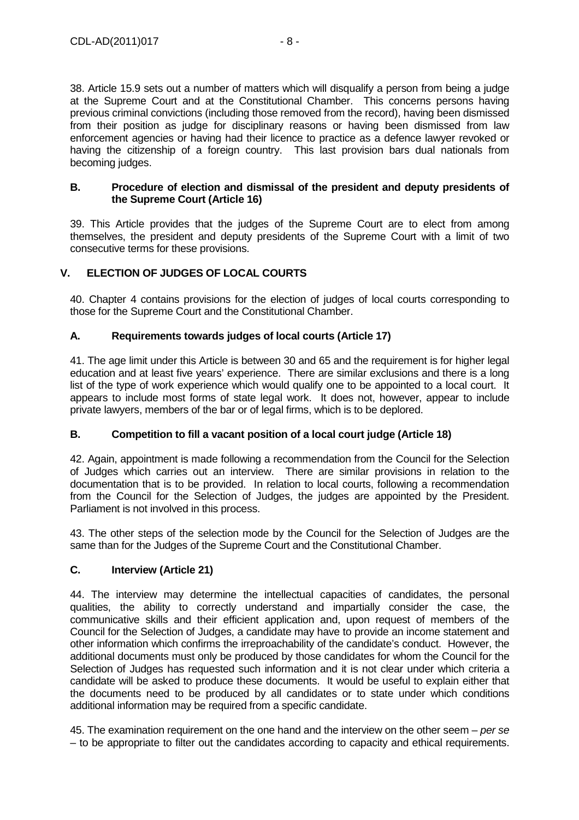38. Article 15.9 sets out a number of matters which will disqualify a person from being a judge at the Supreme Court and at the Constitutional Chamber. This concerns persons having previous criminal convictions (including those removed from the record), having been dismissed from their position as judge for disciplinary reasons or having been dismissed from law enforcement agencies or having had their licence to practice as a defence lawyer revoked or having the citizenship of a foreign country. This last provision bars dual nationals from becoming judges.

## **B. Procedure of election and dismissal of the president and deputy presidents of the Supreme Court (Article 16)**

39. This Article provides that the judges of the Supreme Court are to elect from among themselves, the president and deputy presidents of the Supreme Court with a limit of two consecutive terms for these provisions.

# **V. ELECTION OF JUDGES OF LOCAL COURTS**

40. Chapter 4 contains provisions for the election of judges of local courts corresponding to those for the Supreme Court and the Constitutional Chamber.

# **A. Requirements towards judges of local courts (Article 17)**

41. The age limit under this Article is between 30 and 65 and the requirement is for higher legal education and at least five years' experience. There are similar exclusions and there is a long list of the type of work experience which would qualify one to be appointed to a local court. It appears to include most forms of state legal work. It does not, however, appear to include private lawyers, members of the bar or of legal firms, which is to be deplored.

# **B. Competition to fill a vacant position of a local court judge (Article 18)**

42. Again, appointment is made following a recommendation from the Council for the Selection of Judges which carries out an interview. There are similar provisions in relation to the documentation that is to be provided. In relation to local courts, following a recommendation from the Council for the Selection of Judges, the judges are appointed by the President. Parliament is not involved in this process.

43. The other steps of the selection mode by the Council for the Selection of Judges are the same than for the Judges of the Supreme Court and the Constitutional Chamber.

# **C. Interview (Article 21)**

44. The interview may determine the intellectual capacities of candidates, the personal qualities, the ability to correctly understand and impartially consider the case, the communicative skills and their efficient application and, upon request of members of the Council for the Selection of Judges, a candidate may have to provide an income statement and other information which confirms the irreproachability of the candidate's conduct. However, the additional documents must only be produced by those candidates for whom the Council for the Selection of Judges has requested such information and it is not clear under which criteria a candidate will be asked to produce these documents. It would be useful to explain either that the documents need to be produced by all candidates or to state under which conditions additional information may be required from a specific candidate.

45. The examination requirement on the one hand and the interview on the other seem – per se – to be appropriate to filter out the candidates according to capacity and ethical requirements.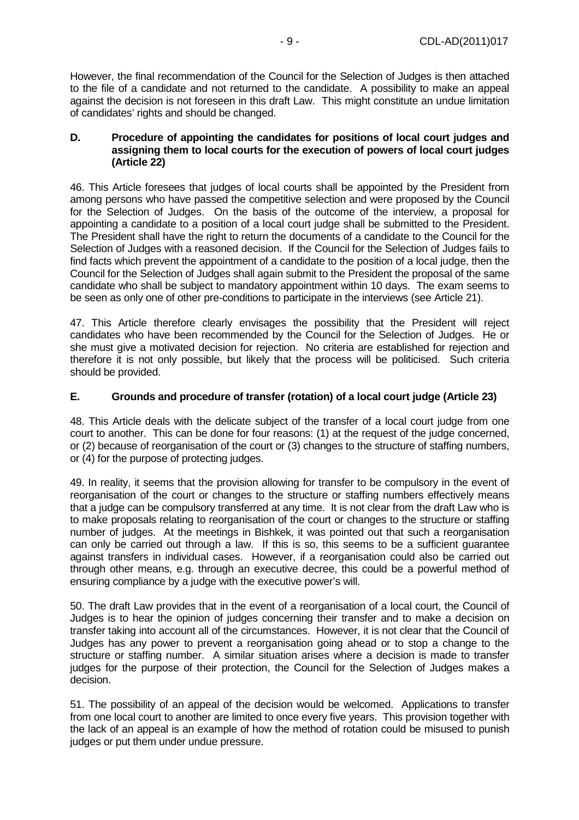However, the final recommendation of the Council for the Selection of Judges is then attached to the file of a candidate and not returned to the candidate. A possibility to make an appeal against the decision is not foreseen in this draft Law. This might constitute an undue limitation of candidates' rights and should be changed.

#### **D. Procedure of appointing the candidates for positions of local court judges and assigning them to local courts for the execution of powers of local court judges (Article 22)**

46. This Article foresees that judges of local courts shall be appointed by the President from among persons who have passed the competitive selection and were proposed by the Council for the Selection of Judges. On the basis of the outcome of the interview, a proposal for appointing a candidate to a position of a local court judge shall be submitted to the President. The President shall have the right to return the documents of a candidate to the Council for the Selection of Judges with a reasoned decision. If the Council for the Selection of Judges fails to find facts which prevent the appointment of a candidate to the position of a local judge, then the Council for the Selection of Judges shall again submit to the President the proposal of the same candidate who shall be subject to mandatory appointment within 10 days. The exam seems to be seen as only one of other pre-conditions to participate in the interviews (see Article 21).

47. This Article therefore clearly envisages the possibility that the President will reject candidates who have been recommended by the Council for the Selection of Judges. He or she must give a motivated decision for rejection. No criteria are established for rejection and therefore it is not only possible, but likely that the process will be politicised. Such criteria should be provided.

## **E. Grounds and procedure of transfer (rotation) of a local court judge (Article 23)**

48. This Article deals with the delicate subject of the transfer of a local court judge from one court to another. This can be done for four reasons: (1) at the request of the judge concerned, or (2) because of reorganisation of the court or (3) changes to the structure of staffing numbers, or (4) for the purpose of protecting judges.

49. In reality, it seems that the provision allowing for transfer to be compulsory in the event of reorganisation of the court or changes to the structure or staffing numbers effectively means that a judge can be compulsory transferred at any time. It is not clear from the draft Law who is to make proposals relating to reorganisation of the court or changes to the structure or staffing number of judges. At the meetings in Bishkek, it was pointed out that such a reorganisation can only be carried out through a law. If this is so, this seems to be a sufficient guarantee against transfers in individual cases. However, if a reorganisation could also be carried out through other means, e.g. through an executive decree, this could be a powerful method of ensuring compliance by a judge with the executive power's will.

50. The draft Law provides that in the event of a reorganisation of a local court, the Council of Judges is to hear the opinion of judges concerning their transfer and to make a decision on transfer taking into account all of the circumstances. However, it is not clear that the Council of Judges has any power to prevent a reorganisation going ahead or to stop a change to the structure or staffing number. A similar situation arises where a decision is made to transfer judges for the purpose of their protection, the Council for the Selection of Judges makes a decision.

51. The possibility of an appeal of the decision would be welcomed. Applications to transfer from one local court to another are limited to once every five years. This provision together with the lack of an appeal is an example of how the method of rotation could be misused to punish judges or put them under undue pressure.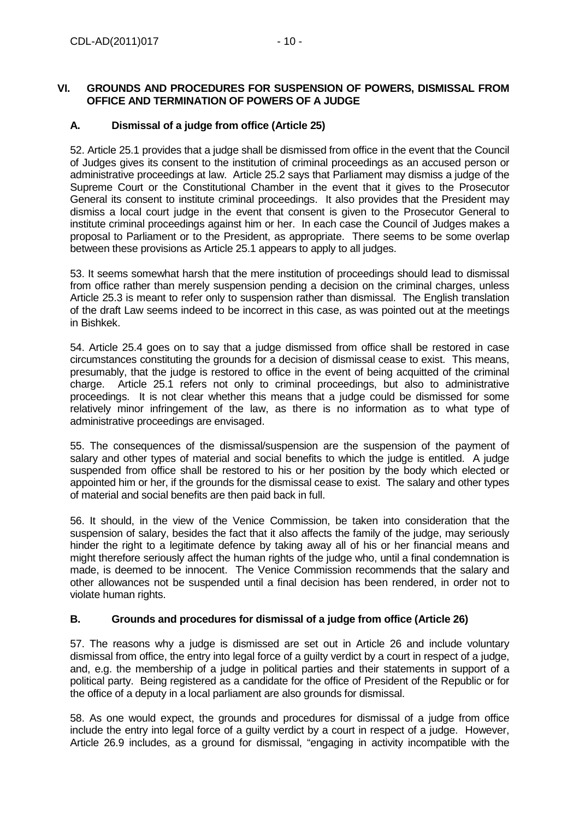## **VI. GROUNDS AND PROCEDURES FOR SUSPENSION OF POWERS, DISMISSAL FROM OFFICE AND TERMINATION OF POWERS OF A JUDGE**

# **A. Dismissal of a judge from office (Article 25)**

52. Article 25.1 provides that a judge shall be dismissed from office in the event that the Council of Judges gives its consent to the institution of criminal proceedings as an accused person or administrative proceedings at law. Article 25.2 says that Parliament may dismiss a judge of the Supreme Court or the Constitutional Chamber in the event that it gives to the Prosecutor General its consent to institute criminal proceedings. It also provides that the President may dismiss a local court judge in the event that consent is given to the Prosecutor General to institute criminal proceedings against him or her. In each case the Council of Judges makes a proposal to Parliament or to the President, as appropriate. There seems to be some overlap between these provisions as Article 25.1 appears to apply to all judges.

53. It seems somewhat harsh that the mere institution of proceedings should lead to dismissal from office rather than merely suspension pending a decision on the criminal charges, unless Article 25.3 is meant to refer only to suspension rather than dismissal. The English translation of the draft Law seems indeed to be incorrect in this case, as was pointed out at the meetings in Bishkek.

54. Article 25.4 goes on to say that a judge dismissed from office shall be restored in case circumstances constituting the grounds for a decision of dismissal cease to exist. This means, presumably, that the judge is restored to office in the event of being acquitted of the criminal charge. Article 25.1 refers not only to criminal proceedings, but also to administrative proceedings. It is not clear whether this means that a judge could be dismissed for some relatively minor infringement of the law, as there is no information as to what type of administrative proceedings are envisaged.

55. The consequences of the dismissal/suspension are the suspension of the payment of salary and other types of material and social benefits to which the judge is entitled. A judge suspended from office shall be restored to his or her position by the body which elected or appointed him or her, if the grounds for the dismissal cease to exist. The salary and other types of material and social benefits are then paid back in full.

56. It should, in the view of the Venice Commission, be taken into consideration that the suspension of salary, besides the fact that it also affects the family of the judge, may seriously hinder the right to a legitimate defence by taking away all of his or her financial means and might therefore seriously affect the human rights of the judge who, until a final condemnation is made, is deemed to be innocent. The Venice Commission recommends that the salary and other allowances not be suspended until a final decision has been rendered, in order not to violate human rights.

## **B. Grounds and procedures for dismissal of a judge from office (Article 26)**

57. The reasons why a judge is dismissed are set out in Article 26 and include voluntary dismissal from office, the entry into legal force of a guilty verdict by a court in respect of a judge, and, e.g. the membership of a judge in political parties and their statements in support of a political party. Being registered as a candidate for the office of President of the Republic or for the office of a deputy in a local parliament are also grounds for dismissal.

58. As one would expect, the grounds and procedures for dismissal of a judge from office include the entry into legal force of a guilty verdict by a court in respect of a judge. However, Article 26.9 includes, as a ground for dismissal, "engaging in activity incompatible with the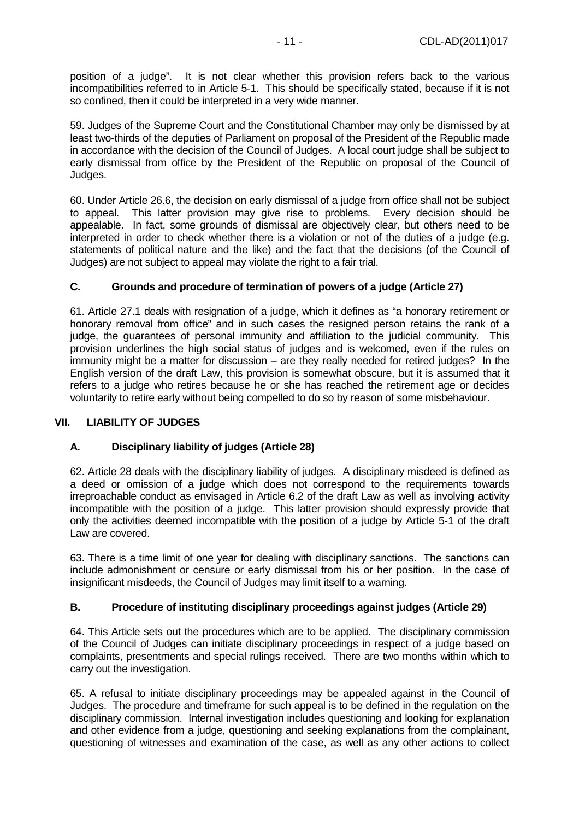position of a judge". It is not clear whether this provision refers back to the various incompatibilities referred to in Article 5-1. This should be specifically stated, because if it is not so confined, then it could be interpreted in a very wide manner.

59. Judges of the Supreme Court and the Constitutional Chamber may only be dismissed by at least two-thirds of the deputies of Parliament on proposal of the President of the Republic made in accordance with the decision of the Council of Judges. A local court judge shall be subject to early dismissal from office by the President of the Republic on proposal of the Council of Judges.

60. Under Article 26.6, the decision on early dismissal of a judge from office shall not be subject to appeal. This latter provision may give rise to problems. Every decision should be appealable. In fact, some grounds of dismissal are objectively clear, but others need to be interpreted in order to check whether there is a violation or not of the duties of a judge (e.g. statements of political nature and the like) and the fact that the decisions (of the Council of Judges) are not subject to appeal may violate the right to a fair trial.

# **C. Grounds and procedure of termination of powers of a judge (Article 27)**

61. Article 27.1 deals with resignation of a judge, which it defines as "a honorary retirement or honorary removal from office" and in such cases the resigned person retains the rank of a judge, the guarantees of personal immunity and affiliation to the judicial community. This provision underlines the high social status of judges and is welcomed, even if the rules on immunity might be a matter for discussion – are they really needed for retired judges? In the English version of the draft Law, this provision is somewhat obscure, but it is assumed that it refers to a judge who retires because he or she has reached the retirement age or decides voluntarily to retire early without being compelled to do so by reason of some misbehaviour.

## **VII. LIABILITY OF JUDGES**

## **A. Disciplinary liability of judges (Article 28)**

62. Article 28 deals with the disciplinary liability of judges. A disciplinary misdeed is defined as a deed or omission of a judge which does not correspond to the requirements towards irreproachable conduct as envisaged in Article 6.2 of the draft Law as well as involving activity incompatible with the position of a judge. This latter provision should expressly provide that only the activities deemed incompatible with the position of a judge by Article 5-1 of the draft Law are covered.

63. There is a time limit of one year for dealing with disciplinary sanctions. The sanctions can include admonishment or censure or early dismissal from his or her position. In the case of insignificant misdeeds, the Council of Judges may limit itself to a warning.

## **B. Procedure of instituting disciplinary proceedings against judges (Article 29)**

64. This Article sets out the procedures which are to be applied. The disciplinary commission of the Council of Judges can initiate disciplinary proceedings in respect of a judge based on complaints, presentments and special rulings received. There are two months within which to carry out the investigation.

65. A refusal to initiate disciplinary proceedings may be appealed against in the Council of Judges. The procedure and timeframe for such appeal is to be defined in the regulation on the disciplinary commission. Internal investigation includes questioning and looking for explanation and other evidence from a judge, questioning and seeking explanations from the complainant, questioning of witnesses and examination of the case, as well as any other actions to collect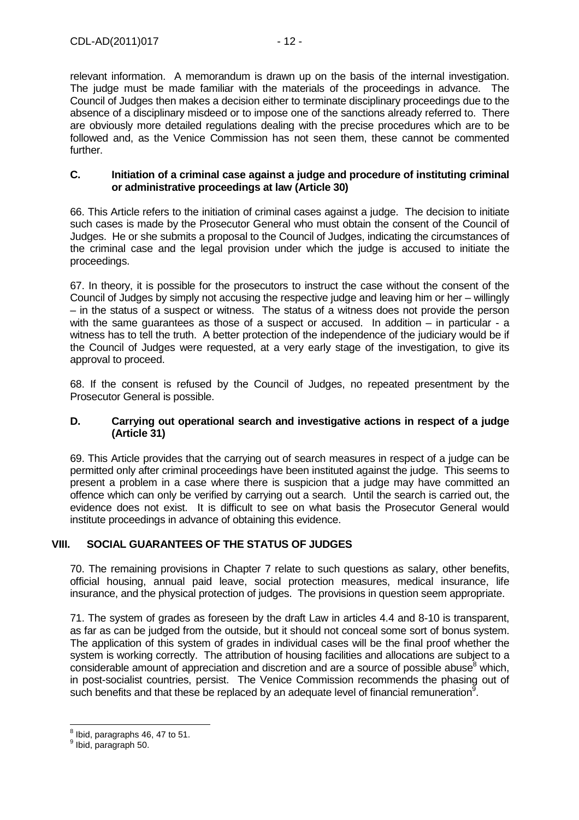relevant information. A memorandum is drawn up on the basis of the internal investigation. The judge must be made familiar with the materials of the proceedings in advance. The Council of Judges then makes a decision either to terminate disciplinary proceedings due to the absence of a disciplinary misdeed or to impose one of the sanctions already referred to. There are obviously more detailed regulations dealing with the precise procedures which are to be followed and, as the Venice Commission has not seen them, these cannot be commented further.

#### **C. Initiation of a criminal case against a judge and procedure of instituting criminal or administrative proceedings at law (Article 30)**

66. This Article refers to the initiation of criminal cases against a judge. The decision to initiate such cases is made by the Prosecutor General who must obtain the consent of the Council of Judges. He or she submits a proposal to the Council of Judges, indicating the circumstances of the criminal case and the legal provision under which the judge is accused to initiate the proceedings.

67. In theory, it is possible for the prosecutors to instruct the case without the consent of the Council of Judges by simply not accusing the respective judge and leaving him or her – willingly – in the status of a suspect or witness. The status of a witness does not provide the person with the same guarantees as those of a suspect or accused. In addition – in particular - a witness has to tell the truth. A better protection of the independence of the judiciary would be if the Council of Judges were requested, at a very early stage of the investigation, to give its approval to proceed.

68. If the consent is refused by the Council of Judges, no repeated presentment by the Prosecutor General is possible.

## **D. Carrying out operational search and investigative actions in respect of a judge (Article 31)**

69. This Article provides that the carrying out of search measures in respect of a judge can be permitted only after criminal proceedings have been instituted against the judge. This seems to present a problem in a case where there is suspicion that a judge may have committed an offence which can only be verified by carrying out a search. Until the search is carried out, the evidence does not exist. It is difficult to see on what basis the Prosecutor General would institute proceedings in advance of obtaining this evidence.

# **VIII. SOCIAL GUARANTEES OF THE STATUS OF JUDGES**

70. The remaining provisions in Chapter 7 relate to such questions as salary, other benefits, official housing, annual paid leave, social protection measures, medical insurance, life insurance, and the physical protection of judges. The provisions in question seem appropriate.

71. The system of grades as foreseen by the draft Law in articles 4.4 and 8-10 is transparent, as far as can be judged from the outside, but it should not conceal some sort of bonus system. The application of this system of grades in individual cases will be the final proof whether the system is working correctly. The attribution of housing facilities and allocations are subject to a  $\overline{\text{considerable}}$  amount of appreciation and discretion and are a source of possible abuse<sup>8</sup> which, in post-socialist countries, persist. The Venice Commission recommends the phasing out of such benefits and that these be replaced by an adequate level of financial remuneration<sup>9</sup>.

<sup>&</sup>lt;u>e</u><br>Bud, paragraphs 46, 47 to 51.

<sup>&</sup>lt;sup>9</sup> Ibid, paragraph 50.